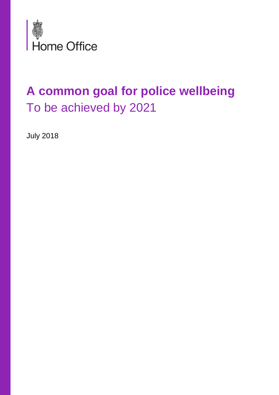

## **A common goal for police wellbeing**  To be achieved by 2021

July 2018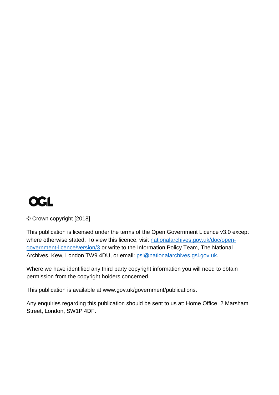

© Crown copyright [2018]

This publication is licensed under the terms of the Open Government Licence v3.0 except where otherwise stated. To view this licence, visit [nationalarchives.gov.uk/doc/open](http://nationalarchives.gov.uk/doc/open-government-licence/version/3/)[government-licence/version/3](http://nationalarchives.gov.uk/doc/open-government-licence/version/3/) or write to the Information Policy Team, The National Archives, Kew, London TW9 4DU, or email: [psi@nationalarchives.gsi.gov.uk.](mailto:psi@nationalarchives.gsi.gov.uk)

Where we have identified any third party copyright information you will need to obtain permission from the copyright holders concerned.

This publication is available at [www.gov.uk/government/publications.](http://www.gov.uk/government/publications)

Any enquiries regarding this publication should be sent to us at: Home Office, 2 Marsham Street, London, SW1P 4DF.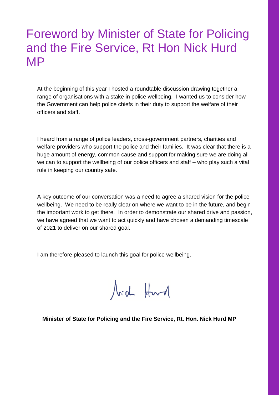## Foreword by Minister of State for Policing and the Fire Service, Rt Hon Nick Hurd MP

At the beginning of this year I hosted a roundtable discussion drawing together a range of organisations with a stake in police wellbeing. I wanted us to consider how the Government can help police chiefs in their duty to support the welfare of their officers and staff.

I heard from a range of police leaders, cross-government partners, charities and welfare providers who support the police and their families. It was clear that there is a huge amount of energy, common cause and support for making sure we are doing all we can to support the wellbeing of our police officers and staff – who play such a vital role in keeping our country safe.

A key outcome of our conversation was a need to agree a shared vision for the police wellbeing. We need to be really clear on where we want to be in the future, and begin the important work to get there. In order to demonstrate our shared drive and passion, we have agreed that we want to act quickly and have chosen a demanding timescale of 2021 to deliver on our shared goal.

I am therefore pleased to launch this goal for police wellbeing.

Nich Hurd

**Minister of State for Policing and the Fire Service, Rt. Hon. Nick Hurd MP**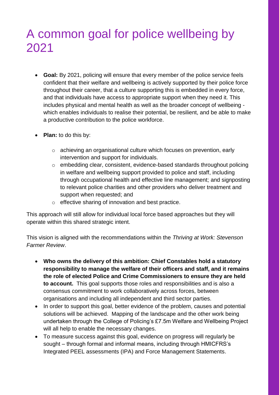## A common goal for police wellbeing by 2021

- **Goal:** By 2021, policing will ensure that every member of the police service feels confident that their welfare and wellbeing is actively supported by their police force throughout their career, that a culture supporting this is embedded in every force, and that individuals have access to appropriate support when they need it. This includes physical and mental health as well as the broader concept of wellbeing which enables individuals to realise their potential, be resilient, and be able to make a productive contribution to the police workforce.
- **Plan:** to do this by:
	- o achieving an organisational culture which focuses on prevention, early intervention and support for individuals.
	- o embedding clear, consistent, evidence-based standards throughout policing in welfare and wellbeing support provided to police and staff, including through occupational health and effective line management; and signposting to relevant police charities and other providers who deliver treatment and support when requested; and
	- o effective sharing of innovation and best practice.

This approach will still allow for individual local force based approaches but they will operate within this shared strategic intent.

This vision is aligned with the recommendations within the *Thriving at Work: Stevenson Farmer Review*.

- **Who owns the delivery of this ambition: Chief Constables hold a statutory responsibility to manage the welfare of their officers and staff, and it remains the role of elected Police and Crime Commissioners to ensure they are held to account.** This goal supports those roles and responsibilities and is also a consensus commitment to work collaboratively across forces, between organisations and including all independent and third sector parties.
- In order to support this goal, better evidence of the problem, causes and potential solutions will be achieved. Mapping of the landscape and the other work being undertaken through the College of Policing's £7.5m Welfare and Wellbeing Project will all help to enable the necessary changes.
- To measure success against this goal, evidence on progress will regularly be sought – through formal and informal means, including through HMICFRS's Integrated PEEL assessments (IPA) and Force Management Statements.